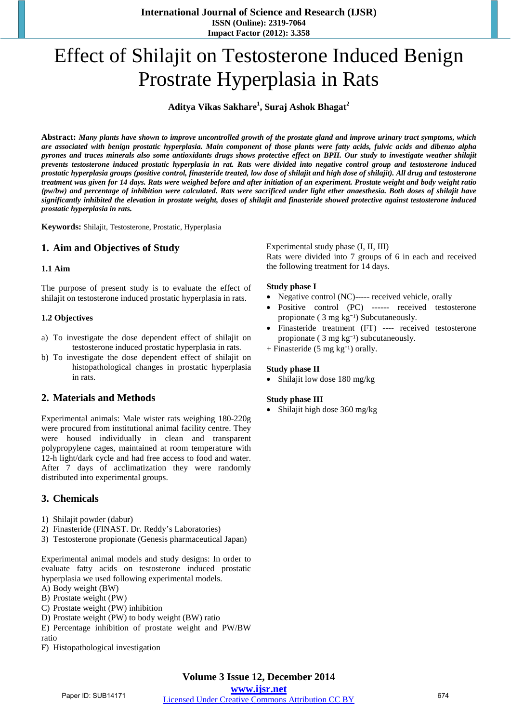**International Journal of Science and Research (IJSR) ISSN (Online): 2319-7064 Impact Factor (2012): 3.358**

# Effect of Shilajit on Testosterone Induced Benign Prostrate Hyperplasia in Rats

# **Aditya Vikas Sakhare<sup>1</sup> , Suraj Ashok Bhagat<sup>2</sup>**

Abstract: Many plants have shown to improve uncontrolled growth of the prostate gland and improve urinary tract symptoms, which are associated with benign prostatic hyperplasia. Main component of those plants were fatty acids, fulvic acids and dibenzo alpha pyrones and traces minerals also some antioxidants drugs shows protective effect on BPH. Our study to investigate weather shilajit prevents testosterone induced prostatic hyperplasia in rat. Rats were divided into negative control group and testosterone induced prostatic hyperplasia groups (positive control, finasteride treated, low dose of shilajit and high dose of shilajit). All drug and testosterone treatment was given for 14 days. Rats were weighed before and after initiation of an experiment. Prostate weight and body weight ratio (pw/bw) and percentage of inhibition were calculated. Rats were sacrificed under light ether anaesthesia. Both doses of shilajit have significantly inhibited the elevation in prostate weight, doses of shilajit and finasteride showed protective against testosterone induced *prostatic hyperplasia in rats.*

**Keywords:** Shilajit, Testosterone, Prostatic, Hyperplasia

# **1. Aim and Objectives of Study**

#### **1.1 Aim**

The purpose of present study is to evaluate the effect of shilajit on testosterone induced prostatic hyperplasia in rats.

#### **1.2 Objectives**

- a) To investigate the dose dependent effect of shilajit on testosterone induced prostatic hyperplasia in rats.
- b) To investigate the dose dependent effect of shilajit on histopathological changes in prostatic hyperplasia in rats.

## **2. Materials and Methods**

Experimental animals: Male wister rats weighing 180-220g were procured from institutional animal facility centre. They were housed individually in clean and transparent polypropylene cages, maintained at room temperature with 12-h light/dark cycle and had free access to food and water. After 7 days of acclimatization they were randomly distributed into experimental groups.

## **3. Chemicals**

- 1) Shilajit powder (dabur)
- 2) Finasteride (FINAST. Dr. Reddy's Laboratories)
- 3) Testosterone propionate (Genesis pharmaceutical Japan)

Experimental animal models and study designs: In order to evaluate fatty acids on testosterone induced prostatic hyperplasia we used following experimental models.

- A) Body weight (BW)
- B) Prostate weight (PW)
- C) Prostate weight (PW) inhibition
- D) Prostate weight (PW) to body weight (BW) ratio
- E) Percentage inhibition of prostate weight and PW/BW ratio
- F) Histopathological investigation

Experimental study phase (I, II, III)

Rats were divided into 7 groups of 6 in each and received the following treatment for 14 days.

#### **Study phase I**

- Negative control (NC)----- received vehicle, orally
- Positive control (PC) ------ received testosterone propionate  $(3 \text{ mg kg}^{-1})$  Subcutaneously.
- Finasteride treatment (FT) ---- received testosterone propionate  $(3 \text{ mg kg}^{-1})$  subcutaneously.
- + Finasteride (5 mg kg $^{-1}$ ) orally.

#### **Study phase II**

• Shilajit low dose 180 mg/kg

#### **Study phase III**

• Shilajit high dose 360 mg/kg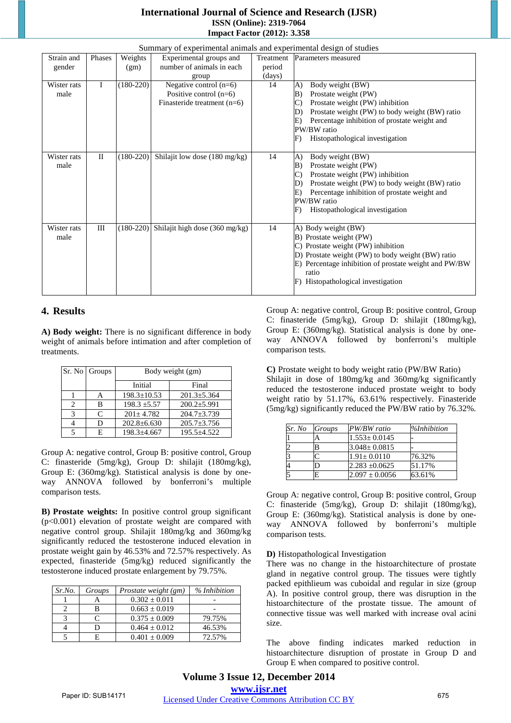# **International Journal of Science and Research (IJSR) ISSN (Online): 2319-7064 Impact Factor (2012): 3.358**

| Summary of experimental animals and experimental design of studies |              |             |                                |           |                                                       |  |  |  |  |
|--------------------------------------------------------------------|--------------|-------------|--------------------------------|-----------|-------------------------------------------------------|--|--|--|--|
| Strain and                                                         | Phases       | Weights     | Experimental groups and        | Treatment | Parameters measured                                   |  |  |  |  |
| gender                                                             |              | (gm)        | number of animals in each      | period    |                                                       |  |  |  |  |
|                                                                    |              |             | group                          | (days)    |                                                       |  |  |  |  |
| Wister rats                                                        | L            | $(180-220)$ | Negative control $(n=6)$       | 14        | Body weight (BW)<br>A)                                |  |  |  |  |
| male                                                               |              |             | Positive control $(n=6)$       |           | Prostate weight (PW)<br>B)                            |  |  |  |  |
|                                                                    |              |             | Finasteride treatment (n=6)    |           | Prostate weight (PW) inhibition<br>$\mathcal{C}$      |  |  |  |  |
|                                                                    |              |             |                                |           | Prostate weight (PW) to body weight (BW) ratio<br>D)  |  |  |  |  |
|                                                                    |              |             |                                |           | Percentage inhibition of prostate weight and<br>E)    |  |  |  |  |
|                                                                    |              |             |                                |           | PW/BW ratio                                           |  |  |  |  |
|                                                                    |              |             |                                |           | F)<br>Histopathological investigation                 |  |  |  |  |
|                                                                    |              |             |                                |           |                                                       |  |  |  |  |
| Wister rats                                                        | $\mathbf{I}$ | $(180-220)$ | Shilajit low dose (180 mg/kg)  | 14        | Body weight (BW)<br>A)                                |  |  |  |  |
| male                                                               |              |             |                                |           | Prostate weight (PW)<br>B)                            |  |  |  |  |
|                                                                    |              |             |                                |           | $\mathcal{C}$<br>Prostate weight (PW) inhibition      |  |  |  |  |
|                                                                    |              |             |                                |           | Prostate weight (PW) to body weight (BW) ratio<br>D)  |  |  |  |  |
|                                                                    |              |             |                                |           | E)<br>Percentage inhibition of prostate weight and    |  |  |  |  |
|                                                                    |              |             |                                |           | PW/BW ratio                                           |  |  |  |  |
|                                                                    |              |             |                                |           | Histopathological investigation<br>$\mathbf{F}$       |  |  |  |  |
|                                                                    |              |             |                                |           |                                                       |  |  |  |  |
| Wister rats                                                        | Ш            | $(180-220)$ | Shilajit high dose (360 mg/kg) | 14        | A) Body weight (BW)                                   |  |  |  |  |
| male                                                               |              |             |                                |           | B) Prostate weight (PW)                               |  |  |  |  |
|                                                                    |              |             |                                |           | C) Prostate weight (PW) inhibition                    |  |  |  |  |
|                                                                    |              |             |                                |           | D) Prostate weight (PW) to body weight (BW) ratio     |  |  |  |  |
|                                                                    |              |             |                                |           | E) Percentage inhibition of prostate weight and PW/BW |  |  |  |  |
|                                                                    |              |             |                                |           | ratio                                                 |  |  |  |  |
|                                                                    |              |             |                                |           | Histopathological investigation<br>F)                 |  |  |  |  |
|                                                                    |              |             |                                |           |                                                       |  |  |  |  |

# **4. Results**

**A) Body weight:** There is no significant difference in body weight of animals before intimation and after completion of treatments.

|   | Sr. No Groups | Body weight (gm)  |                   |  |
|---|---------------|-------------------|-------------------|--|
|   |               | Initial           | Final             |  |
|   | Α             | $198.3 \pm 10.53$ | $201.3 \pm 5.364$ |  |
| 2 | в             | $198.3 \pm 5.57$  | $200.2 \pm 5.991$ |  |
| 3 | $\subset$     | $201 + 4.782$     | $204.7 + 3.739$   |  |
|   | D             | $202.8 \pm 6.630$ | $205.7 \pm 3.756$ |  |
|   | E             | $198.3 \pm 4.667$ | $195.5 + 4.522$   |  |

Group A: negative control, Group B: positive control, Group C: finasteride (5mg/kg), Group D: shilajit (180mg/kg), Group E: (360mg/kg). Statistical analysis is done by oneway ANNOVA followed by bonferroni's multiple comparison tests.

**B) Prostate weights:** In positive control group significant  $(p<0.001)$  elevation of prostate weight are compared with negative control group. Shilajit 180mg/kg and 360mg/kg significantly reduced the testosterone induced elevation in prostate weight gain by 46.53% and 72.57% respectively. As expected, finasteride (5mg/kg) reduced significantly the testosterone induced prostate enlargement by 79.75%.

| Sr. No. | Groups | Prostate weight (gm) | % Inhibition |
|---------|--------|----------------------|--------------|
|         |        | $0.302 \pm 0.011$    |              |
|         |        | $0.663 \pm 0.019$    |              |
|         |        | $0.375 \pm 0.009$    | 79.75%       |
|         |        | $0.464 \pm 0.012$    | 46.53%       |
|         |        | $0.401 \pm 0.009$    | 72.57%       |

Group A: negative control, Group B: positive control, Group C: finasteride (5mg/kg), Group D: shilajit (180mg/kg), Group E: (360mg/kg). Statistical analysis is done by oneway ANNOVA followed by bonferroni's multiple comparison tests.

**C)** Prostate weight to body weight ratio (PW/BW Ratio) Shilajit in dose of 180mg/kg and 360mg/kg significantly reduced the testosterone induced prostate weight to body weight ratio by 51.17%, 63.61% respectively. Finasteride (5mg/kg) significantly reduced the PW/BW ratio by 76.32%.

| Sr. No | Groups | PW/BW ratio        | <i>%Inhibition</i> |
|--------|--------|--------------------|--------------------|
|        | A      | $1.553 \pm 0.0145$ |                    |
| 2      | B      | $3.048 \pm 0.0815$ |                    |
| 3      |        | $1.91 \pm 0.0110$  | 76.32%             |
| 4      |        | $2.283 \pm 0.0625$ | 51.17%             |
| 5      | E      | $2.097 \pm 0.0056$ | 63.61%             |

Group A: negative control, Group B: positive control, Group C: finasteride (5mg/kg), Group D: shilajit (180mg/kg), Group E: (360mg/kg). Statistical analysis is done by oneway ANNOVA followed by bonferroni's multiple comparison tests.

## **D)** Histopathological Investigation

There was no change in the histoarchitecture of prostate gland in negative control group. The tissues were tightly packed epithlieum was cuboidal and regular in size (group A). In positive control group, there was disruption in the histoarchitecture of the prostate tissue. The amount of connective tissue was well marked with increase oval acini size.

The above finding indicates marked reduction in histoarchitecture disruption of prostate in Group D and Group E when compared to positive control.